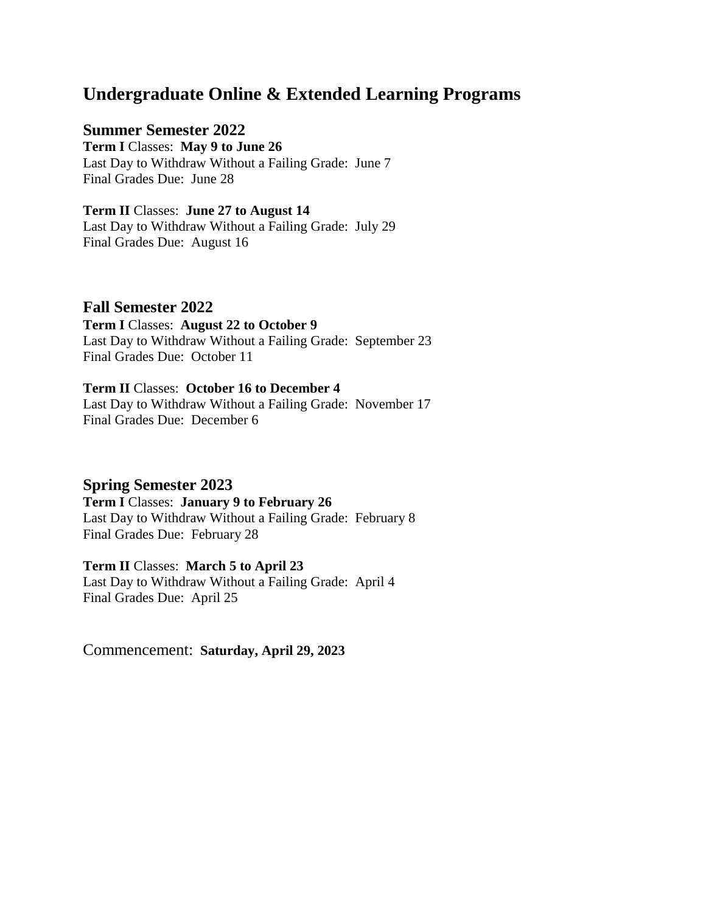# **Undergraduate Online & Extended Learning Programs**

### **Summer Semester 2022**

**Term I** Classes: **May 9 to June 26** Last Day to Withdraw Without a Failing Grade: June 7 Final Grades Due: June 28

**Term II** Classes: **June 27 to August 14** Last Day to Withdraw Without a Failing Grade: July 29 Final Grades Due: August 16

#### **Fall Semester 2022**

**Term I** Classes: **August 22 to October 9** Last Day to Withdraw Without a Failing Grade: September 23 Final Grades Due: October 11

# **Term II** Classes: **October 16 to December 4**

Last Day to Withdraw Without a Failing Grade: November 17 Final Grades Due: December 6

# **Spring Semester 2023**

**Term I** Classes: **January 9 to February 26** Last Day to Withdraw Without a Failing Grade: February 8

# Final Grades Due: February 28

**Term II** Classes: **March 5 to April 23** Last Day to Withdraw Without a Failing Grade: April 4 Final Grades Due: April 25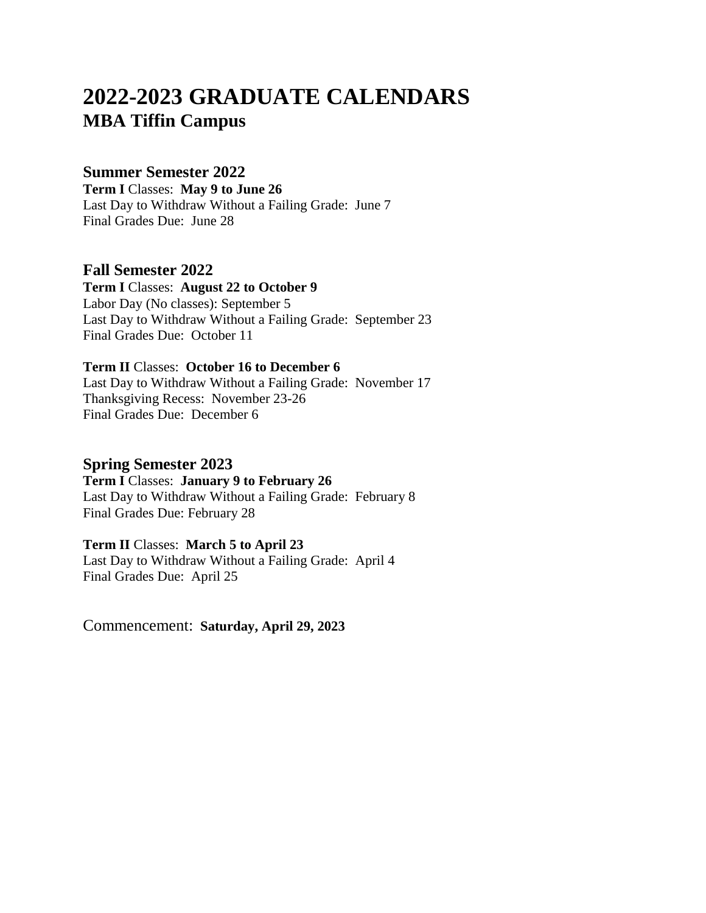# **2022-2023 GRADUATE CALENDARS MBA Tiffin Campus**

# **Summer Semester 2022**

**Term I** Classes: **May 9 to June 26** Last Day to Withdraw Without a Failing Grade: June 7 Final Grades Due: June 28

**Fall Semester 2022**

**Term I** Classes: **August 22 to October 9** Labor Day (No classes): September 5 Last Day to Withdraw Without a Failing Grade: September 23 Final Grades Due: October 11

**Term II** Classes: **October 16 to December 6** Last Day to Withdraw Without a Failing Grade: November 17 Thanksgiving Recess: November 23-26 Final Grades Due: December 6

# **Spring Semester 2023**

**Term I** Classes: **January 9 to February 26** Last Day to Withdraw Without a Failing Grade: February 8 Final Grades Due: February 28

# **Term II** Classes: **March 5 to April 23**

Last Day to Withdraw Without a Failing Grade: April 4 Final Grades Due: April 25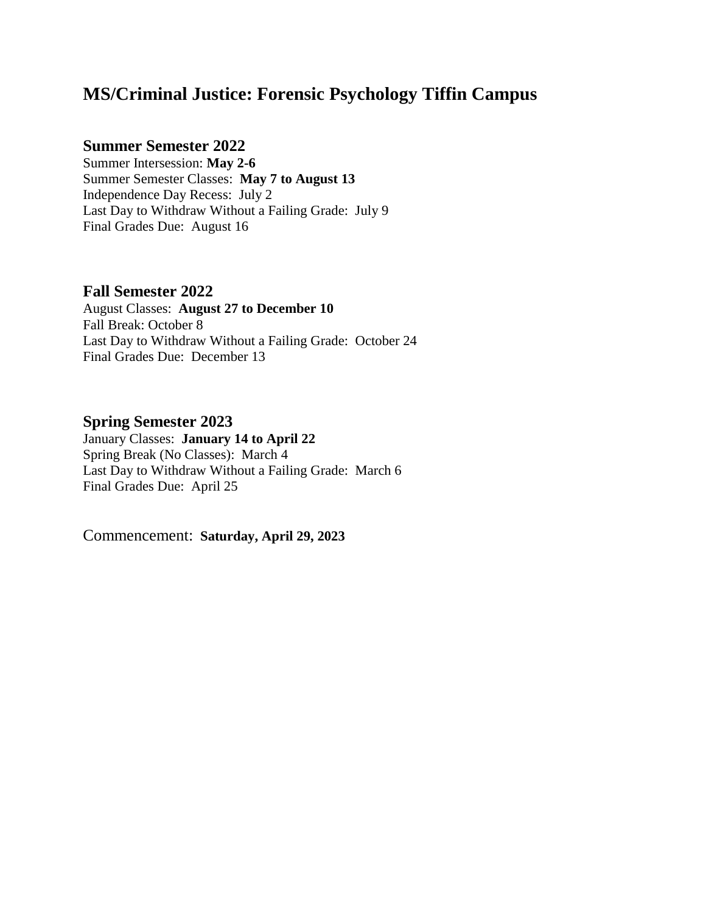# **MS/Criminal Justice: Forensic Psychology Tiffin Campus**

# **Summer Semester 2022**

Summer Intersession: **May 2-6** Summer Semester Classes: **May 7 to August 13** Independence Day Recess: July 2 Last Day to Withdraw Without a Failing Grade: July 9 Final Grades Due: August 16

# **Fall Semester 2022**

August Classes: **August 27 to December 10** Fall Break: October 8 Last Day to Withdraw Without a Failing Grade: October 24 Final Grades Due: December 13

# **Spring Semester 2023**

January Classes: **January 14 to April 22** Spring Break (No Classes): March 4 Last Day to Withdraw Without a Failing Grade: March 6 Final Grades Due: April 25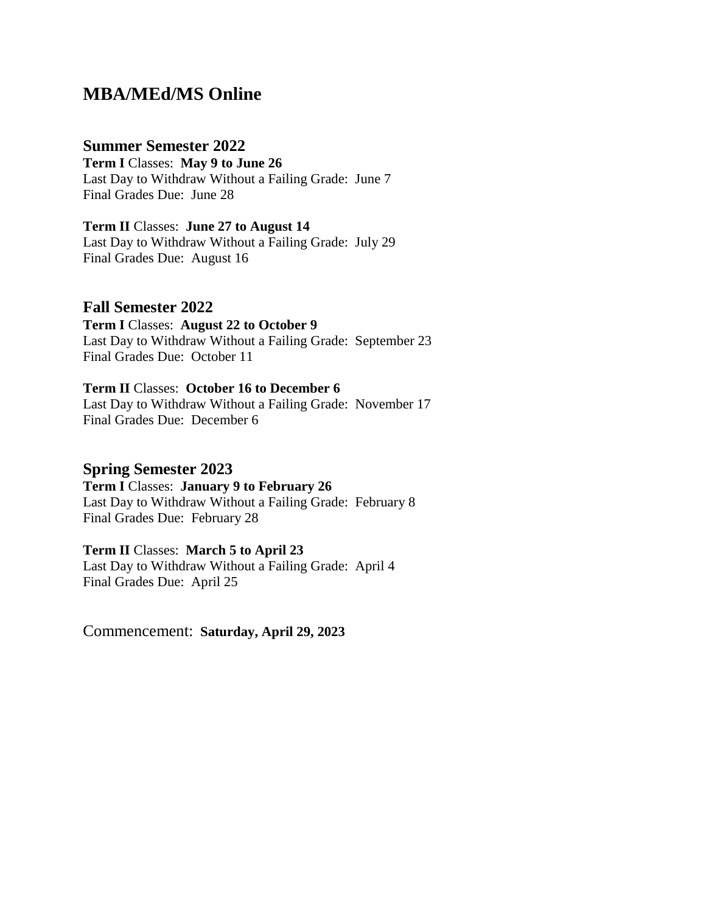# **MBA/MEd/MS Online**

#### **Summer Semester 2022**

**Term I** Classes: **May 9 to June 26** Last Day to Withdraw Without a Failing Grade: June 7 Final Grades Due: June 28

**Term II** Classes: **June 27 to August 14** Last Day to Withdraw Without a Failing Grade: July 29 Final Grades Due: August 16

#### **Fall Semester 2022**

**Term I** Classes: **August 22 to October 9** Last Day to Withdraw Without a Failing Grade: September 23 Final Grades Due: October 11

# **Term II** Classes: **October 16 to December 6**

Last Day to Withdraw Without a Failing Grade: November 17 Final Grades Due: December 6

#### **Spring Semester 2023**

**Term I** Classes: **January 9 to February 26** Last Day to Withdraw Without a Failing Grade: February 8 Final Grades Due: February 28

#### **Term II** Classes: **March 5 to April 23**

Last Day to Withdraw Without a Failing Grade: April 4 Final Grades Due: April 25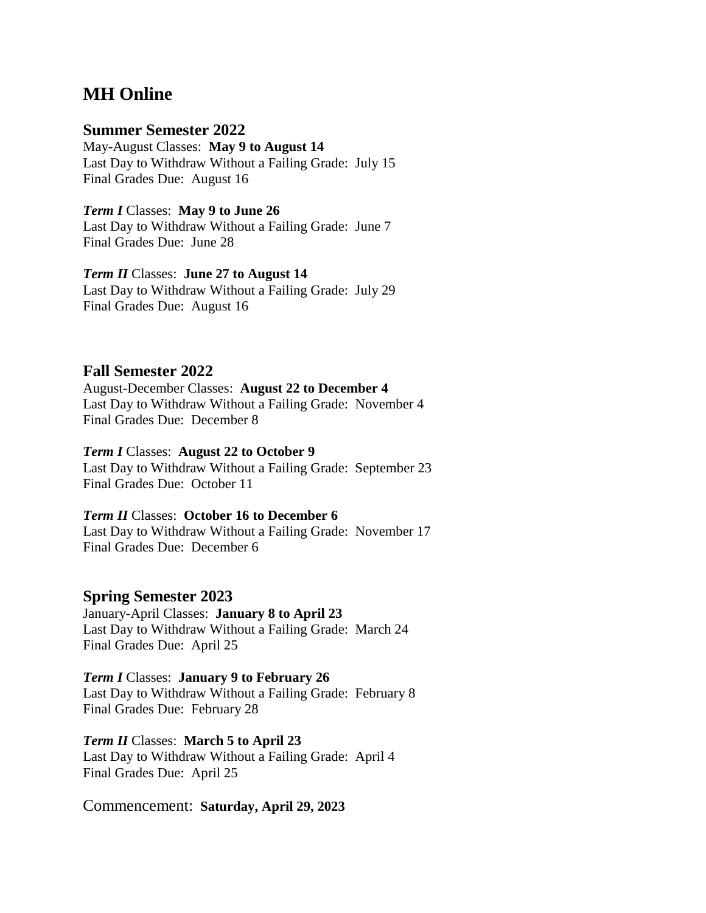# **MH Online**

### **Summer Semester 2022**

May-August Classes: **May 9 to August 14** Last Day to Withdraw Without a Failing Grade: July 15 Final Grades Due: August 16

#### *Term I* Classes: **May 9 to June 26**

Last Day to Withdraw Without a Failing Grade: June 7 Final Grades Due: June 28

#### *Term II* Classes: **June 27 to August 14**

Last Day to Withdraw Without a Failing Grade: July 29 Final Grades Due: August 16

# **Fall Semester 2022**

August-December Classes: **August 22 to December 4** Last Day to Withdraw Without a Failing Grade: November 4 Final Grades Due: December 8

#### *Term I* Classes: **August 22 to October 9**

Last Day to Withdraw Without a Failing Grade: September 23 Final Grades Due: October 11

#### *Term II* Classes: **October 16 to December 6**

Last Day to Withdraw Without a Failing Grade: November 17 Final Grades Due: December 6

# **Spring Semester 2023**

January-April Classes: **January 8 to April 23** Last Day to Withdraw Without a Failing Grade: March 24 Final Grades Due: April 25

#### *Term I* Classes: **January 9 to February 26**

Last Day to Withdraw Without a Failing Grade: February 8 Final Grades Due: February 28

#### *Term II* Classes: **March 5 to April 23**

Last Day to Withdraw Without a Failing Grade: April 4 Final Grades Due: April 25